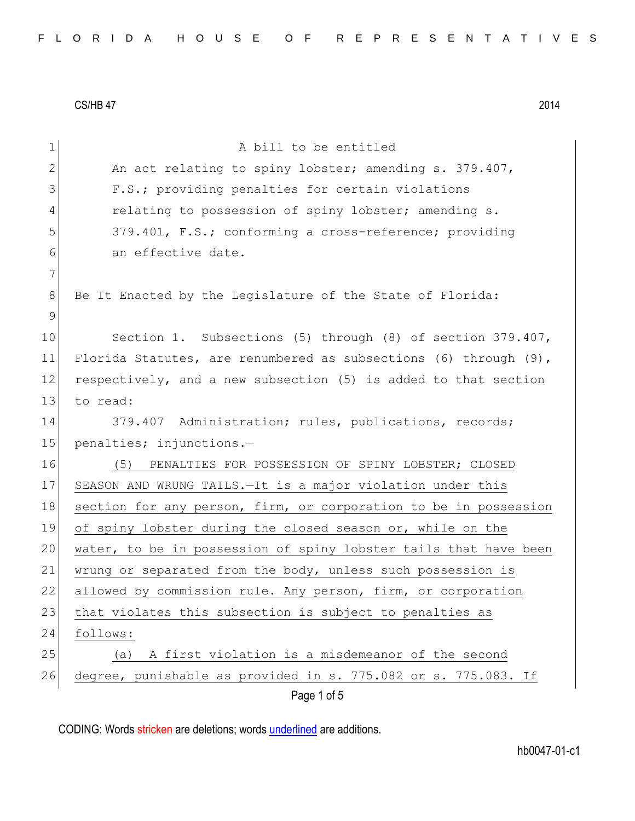| 1             | A bill to be entitled                                               |
|---------------|---------------------------------------------------------------------|
| $\mathbf{2}$  | An act relating to spiny lobster; amending s. 379.407,              |
| 3             | F.S.; providing penalties for certain violations                    |
| 4             | relating to possession of spiny lobster; amending s.                |
| 5             | 379.401, F.S.; conforming a cross-reference; providing              |
| 6             | an effective date.                                                  |
| 7             |                                                                     |
| 8             | Be It Enacted by the Legislature of the State of Florida:           |
| $\mathcal{G}$ |                                                                     |
| 10            | Section 1. Subsections (5) through (8) of section 379.407,          |
| 11            | Florida Statutes, are renumbered as subsections (6) through $(9)$ , |
| 12            | respectively, and a new subsection (5) is added to that section     |
| 13            | to read:                                                            |
| 14            | 379.407 Administration; rules, publications, records;               |
| 15            | penalties; injunctions.-                                            |
| 16            | (5)<br>PENALTIES FOR POSSESSION OF SPINY LOBSTER; CLOSED            |
| 17            | SEASON AND WRUNG TAILS. - It is a major violation under this        |
| 18            | section for any person, firm, or corporation to be in possession    |
| 19            | of spiny lobster during the closed season or, while on the          |
| 20            | water, to be in possession of spiny lobster tails that have been    |
| 21            | wrung or separated from the body, unless such possession is         |
| 22            | allowed by commission rule. Any person, firm, or corporation        |
| 23            | that violates this subsection is subject to penalties as            |
| 24            | follows:                                                            |
| 25            | A first violation is a misdemeanor of the second<br>(a)             |
| 26            | degree, punishable as provided in s. 775.082 or s. 775.083. If      |
|               | Page 1 of 5                                                         |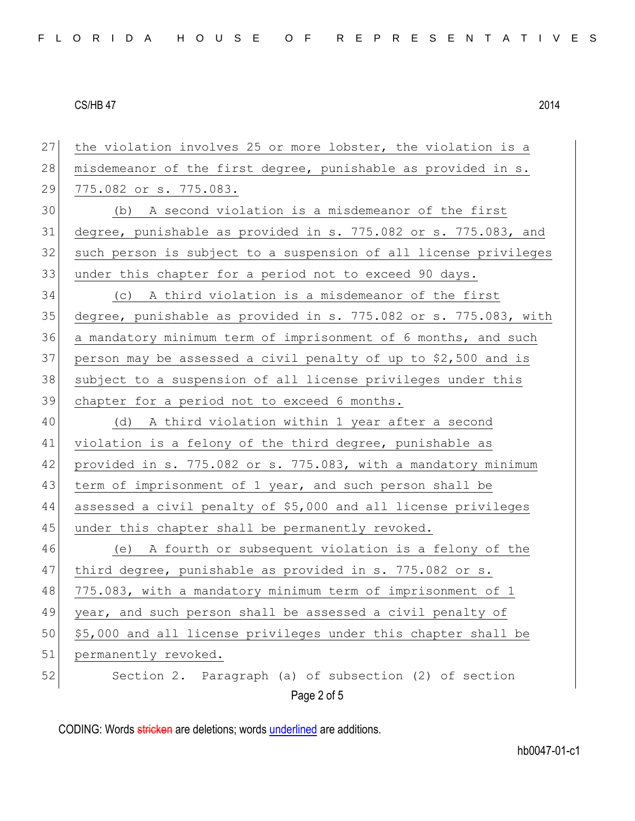| 27 | the violation involves 25 or more lobster, the violation is a    |
|----|------------------------------------------------------------------|
| 28 | misdemeanor of the first degree, punishable as provided in s.    |
| 29 | 775.082 or s. 775.083.                                           |
| 30 | (b) A second violation is a misdemeanor of the first             |
| 31 | degree, punishable as provided in s. 775.082 or s. 775.083, and  |
| 32 | such person is subject to a suspension of all license privileges |
| 33 | under this chapter for a period not to exceed 90 days.           |
| 34 | (c) A third violation is a misdemeanor of the first              |
| 35 | degree, punishable as provided in s. 775.082 or s. 775.083, with |
| 36 | a mandatory minimum term of imprisonment of 6 months, and such   |
| 37 | person may be assessed a civil penalty of up to \$2,500 and is   |
| 38 | subject to a suspension of all license privileges under this     |
| 39 | chapter for a period not to exceed 6 months.                     |
| 40 | (d) A third violation within 1 year after a second               |
| 41 | violation is a felony of the third degree, punishable as         |
| 42 | provided in s. 775.082 or s. 775.083, with a mandatory minimum   |
| 43 | term of imprisonment of 1 year, and such person shall be         |
| 44 | assessed a civil penalty of \$5,000 and all license privileges   |
| 45 | under this chapter shall be permanently revoked.                 |
| 46 | (e) A fourth or subsequent violation is a felony of the          |
| 47 | third degree, punishable as provided in s. 775.082 or s.         |
| 48 | 775.083, with a mandatory minimum term of imprisonment of 1      |
| 49 | year, and such person shall be assessed a civil penalty of       |
| 50 | \$5,000 and all license privileges under this chapter shall be   |
| 51 | permanently revoked.                                             |
| 52 | Section 2. Paragraph (a) of subsection (2) of section            |
|    | Page 2 of 5                                                      |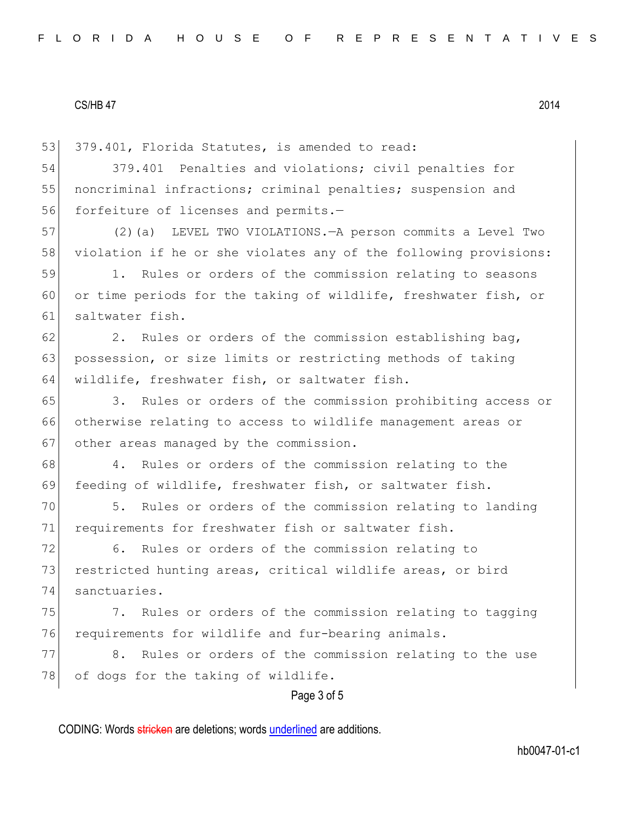53 379.401, Florida Statutes, is amended to read:

54 379.401 Penalties and violations; civil penalties for 55 | noncriminal infractions; criminal penalties; suspension and 56 forfeiture of licenses and permits.-

57 (2)(a) LEVEL TWO VIOLATIONS.—A person commits a Level Two 58 violation if he or she violates any of the following provisions:

59 1. Rules or orders of the commission relating to seasons 60 or time periods for the taking of wildlife, freshwater fish, or 61 saltwater fish.

 $62$  2. Rules or orders of the commission establishing bag, 63 possession, or size limits or restricting methods of taking 64 wildlife, freshwater fish, or saltwater fish.

65 3. Rules or orders of the commission prohibiting access or 66 otherwise relating to access to wildlife management areas or 67 other areas managed by the commission.

68 4. Rules or orders of the commission relating to the 69 feeding of wildlife, freshwater fish, or saltwater fish.

70 5. Rules or orders of the commission relating to landing 71 requirements for freshwater fish or saltwater fish.

72 6. Rules or orders of the commission relating to 73 restricted hunting areas, critical wildlife areas, or bird 74 sanctuaries.

75 7. Rules or orders of the commission relating to tagging 76 requirements for wildlife and fur-bearing animals.

77 8. Rules or orders of the commission relating to the use 78 of dogs for the taking of wildlife.

# Page 3 of 5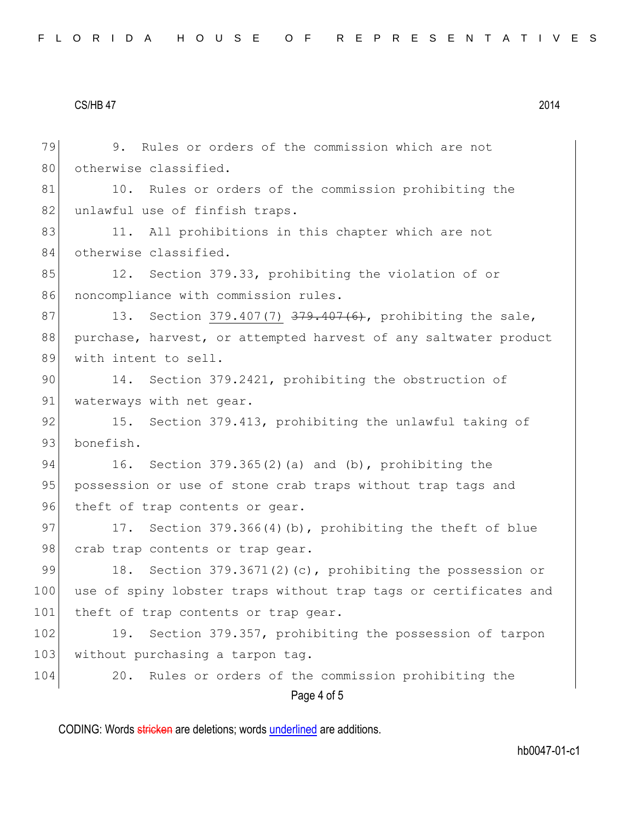Page 4 of 5 79 9. Rules or orders of the commission which are not 80 otherwise classified. 81 10. Rules or orders of the commission prohibiting the 82 unlawful use of finfish traps. 83 11. All prohibitions in this chapter which are not 84 otherwise classified. 85 12. Section 379.33, prohibiting the violation of or 86 noncompliance with commission rules. 87 13. Section 379.407(7) 379.407(6), prohibiting the sale, 88 purchase, harvest, or attempted harvest of any saltwater product 89 with intent to sell. 90 14. Section 379.2421, prohibiting the obstruction of 91 waterways with net gear. 92 15. Section 379.413, prohibiting the unlawful taking of 93 bonefish. 94 16. Section 379.365(2)(a) and (b), prohibiting the 95 | possession or use of stone crab traps without trap tags and 96 theft of trap contents or gear. 97 17. Section 379.366(4)(b), prohibiting the theft of blue 98 crab trap contents or trap gear. 99 18. Section 379.3671(2)(c), prohibiting the possession or 100 use of spiny lobster traps without trap tags or certificates and 101 theft of trap contents or trap gear. 102 19. Section 379.357, prohibiting the possession of tarpon 103 without purchasing a tarpon tag. 104 20. Rules or orders of the commission prohibiting the